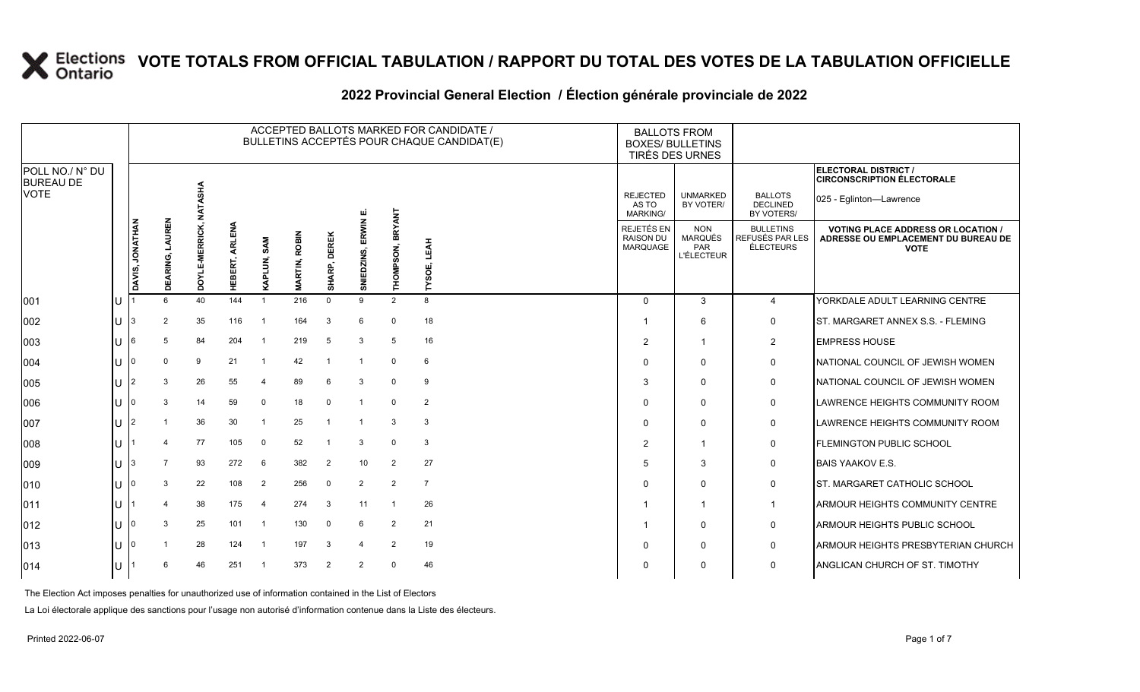#### 2022 Provincial General Election / Election générale provinciale de 2022

|                                     |      |                 |                           |             |                        |                         |                  |                        |                       |                     | ACCEPTED BALLOTS MARKED FOR CANDIDATE /<br>BULLETINS ACCEPTÉS POUR CHAQUE CANDIDAT(E) | <b>BALLOTS FROM</b><br><b>BOXES/ BULLETINS</b><br>TIRÉS DES URNES |                                                   |                                                  |                                                                                                 |
|-------------------------------------|------|-----------------|---------------------------|-------------|------------------------|-------------------------|------------------|------------------------|-----------------------|---------------------|---------------------------------------------------------------------------------------|-------------------------------------------------------------------|---------------------------------------------------|--------------------------------------------------|-------------------------------------------------------------------------------------------------|
| POLL NO./ N° DU<br><b>BUREAU DE</b> |      |                 |                           |             |                        |                         |                  |                        |                       |                     |                                                                                       |                                                                   |                                                   |                                                  | ELECTORAL DISTRICT /<br><b>CIRCONSCRIPTION ÉLECTORALE</b>                                       |
| <b>VOTE</b>                         |      |                 |                           | ASHA        |                        |                         |                  |                        |                       |                     |                                                                                       | <b>REJECTED</b><br>AS TO<br><b>MARKING/</b>                       | <b>UNMARKED</b><br>BY VOTER/                      | <b>BALLOTS</b><br><b>DECLINED</b><br>BY VOTERS/  | 025 - Eglinton-Lawrence                                                                         |
|                                     |      | DAVIS, JONATHAN | LAUREN<br><b>DEARING,</b> | VERRIC<br>š | ⋚<br>ARLI<br>ERT,<br>ᄒ | <b>SAM</b>              | ROBIN<br>MARTIN, | <b>DEREK</b><br>SHARP, | ERWIN<br>EDZINS,<br>Ξ | BRYANT<br>THOMPSON, | <b>LEAH</b><br>шĨ<br>vso                                                              | REJETÉS EN<br><b>RAISON DU</b><br>MARQUAGE                        | <b>NON</b><br>MARQUÉS<br>PAR<br><b>L'ÉLECTEUR</b> | <b>BULLETINS</b><br>REFUSÉS PAR LES<br>ÉLECTEURS | <b>VOTING PLACE ADDRESS OR LOCATION /</b><br>ADRESSE OU EMPLACEMENT DU BUREAU DE<br><b>VOTE</b> |
| 001                                 |      |                 | 6                         | 40          | 144                    | $\overline{1}$          | 216              | $\Omega$               | 9                     | 2                   | 8                                                                                     | $\Omega$                                                          | 3                                                 | $\overline{4}$                                   | YORKDALE ADULT LEARNING CENTRE                                                                  |
| 002                                 | U    | I3              | $\overline{2}$            | 35          | 116                    | -1                      | 164              | 3                      | 6                     | $\mathbf 0$         | 18                                                                                    |                                                                   | 6                                                 | 0                                                | IST. MARGARET ANNEX S.S. - FLEMING                                                              |
| 003                                 | 11 6 |                 | 5                         | 84          | 204                    | $\overline{1}$          | 219              | 5                      | 3                     | 5                   | 16                                                                                    | $\overline{2}$                                                    | -1                                                | $\overline{2}$                                   | <b>EMPRESS HOUSE</b>                                                                            |
| 004                                 | U    |                 | $\Omega$                  | 9           | 21                     | $\overline{\mathbf{1}}$ | 42               | - 1                    |                       | $\Omega$            | 6                                                                                     | $\Omega$                                                          | 0                                                 | 0                                                | NATIONAL COUNCIL OF JEWISH WOMEN                                                                |
| 005                                 | U    | 12              |                           | 26          | 55                     | $\overline{4}$          | 89               | 6                      | 3                     | $\Omega$            | 9                                                                                     | 3                                                                 | $\Omega$                                          | 0                                                | NATIONAL COUNCIL OF JEWISH WOMEN                                                                |
| 006                                 | U    |                 |                           | 14          | 59                     | $\mathbf 0$             | 18               | $\mathbf{0}$           |                       | $\Omega$            | 2                                                                                     | $\Omega$                                                          | $\Omega$                                          | 0                                                | LAWRENCE HEIGHTS COMMUNITY ROOM                                                                 |
| 007                                 | U    | 12              |                           | 36          | 30                     | $\overline{1}$          | 25               | $\overline{1}$         |                       | 3                   | 3                                                                                     | $\mathbf 0$                                                       | $\mathbf 0$                                       | 0                                                | LAWRENCE HEIGHTS COMMUNITY ROOM                                                                 |
| 008                                 | U    |                 |                           | 77          | 105                    | $\mathbf 0$             | 52               | - 1                    | 3                     | $\Omega$            | 3                                                                                     | $\overline{2}$                                                    |                                                   | 0                                                | <b>FLEMINGTON PUBLIC SCHOOL</b>                                                                 |
| 009                                 | U    |                 |                           | 93          | 272                    | 6                       | 382              | $\overline{2}$         | 10                    | 2                   | 27                                                                                    | 5                                                                 | 3                                                 | 0                                                | <b>BAIS YAAKOV E.S.</b>                                                                         |
| 010                                 | U    |                 | 3                         | 22          | 108                    | $\overline{2}$          | 256              | $\mathbf 0$            | $\overline{2}$        | $\overline{2}$      | $\overline{7}$                                                                        | $\Omega$                                                          | $\Omega$                                          | 0                                                | IST. MARGARET CATHOLIC SCHOOL                                                                   |
| 011                                 | U    |                 | 4                         | 38          | 175                    | -4                      | 274              | 3                      | 11                    |                     | 26                                                                                    |                                                                   |                                                   | $\mathbf 1$                                      | ARMOUR HEIGHTS COMMUNITY CENTRE                                                                 |
| 012                                 | U    |                 |                           | 25          | 101                    | $\overline{1}$          | 130              | $\Omega$               | 6                     | 2                   | 21                                                                                    |                                                                   | 0                                                 | 0                                                | ARMOUR HEIGHTS PUBLIC SCHOOL                                                                    |
| 013                                 | U    |                 |                           | 28          | 124                    | - 1                     | 197              | 3                      |                       | 2                   | 19                                                                                    | $\Omega$                                                          | 0                                                 | 0                                                | ARMOUR HEIGHTS PRESBYTERIAN CHURCH                                                              |
| 014                                 | U    |                 |                           | 46          | 251                    |                         | 373              | $\overline{2}$         | 2                     | $\Omega$            | 46                                                                                    | $\Omega$                                                          | 0                                                 | 0                                                | ANGLICAN CHURCH OF ST. TIMOTHY                                                                  |

The Election Act imposes penalties for unauthorized use of information contained in the List of Electors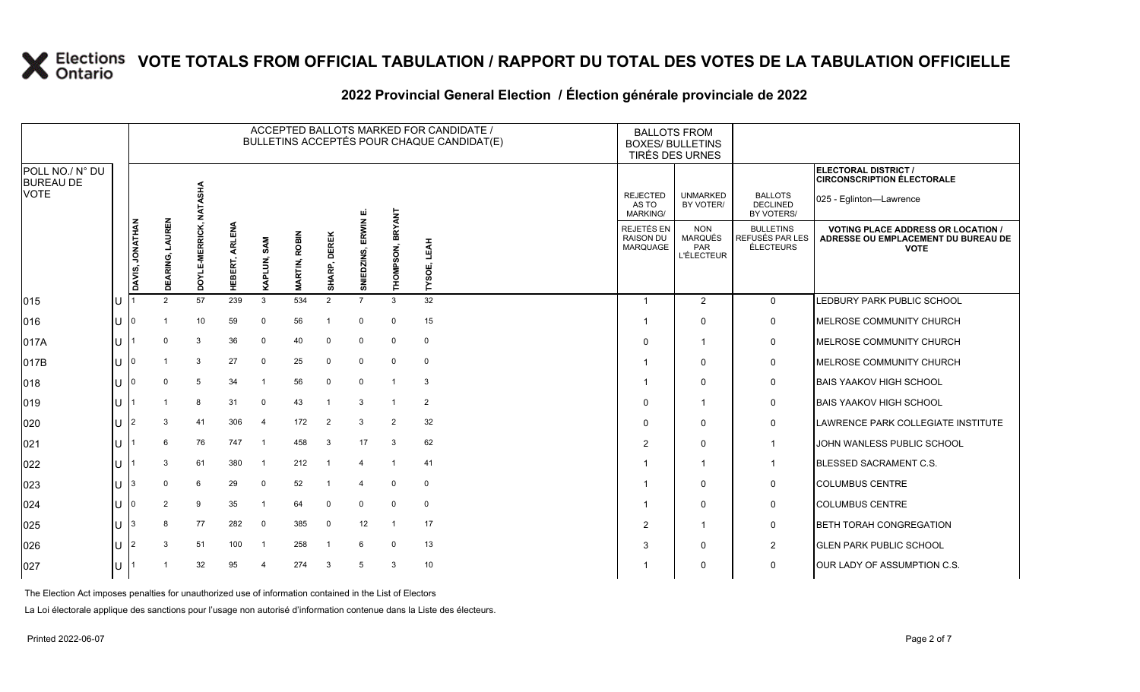#### **2022 Provincial General Election / Élection générale provinciale de 2022**

|                                     |   |                 |                    |                |                   |                        |                         |                            |                       |                     | ACCEPTED BALLOTS MARKED FOR CANDIDATE /<br>BULLETINS ACCEPTÉS POUR CHAQUE CANDIDAT(E) | <b>BALLOTS FROM</b><br><b>BOXES/ BULLETINS</b><br>TIRÉS DES URNES |                                                          |                                                  |                                                                                                 |
|-------------------------------------|---|-----------------|--------------------|----------------|-------------------|------------------------|-------------------------|----------------------------|-----------------------|---------------------|---------------------------------------------------------------------------------------|-------------------------------------------------------------------|----------------------------------------------------------|--------------------------------------------------|-------------------------------------------------------------------------------------------------|
| POLL NO./ N° DU<br><b>BUREAU DE</b> |   |                 |                    |                |                   |                        |                         |                            |                       |                     |                                                                                       |                                                                   |                                                          |                                                  | ELECTORAL DISTRICT /<br><b>CIRCONSCRIPTION ÉLECTORALE</b>                                       |
| <b>VOTE</b>                         |   |                 |                    | NATASHA        |                   |                        |                         |                            |                       |                     |                                                                                       | <b>REJECTED</b><br>AS TO<br>MARKING/                              | <b>UNMARKED</b><br>BY VOTER/                             | <b>BALLOTS</b><br><b>DECLINED</b><br>BY VOTERS/  | 025 - Eglinton-Lawrence                                                                         |
|                                     |   | DAVIS, JONATHAN | LAUREN<br>DEARING, | DOYLE-MERRICK, | ARLENA<br>HEBERT, | LUN, SAM<br><b>RAP</b> | ROBIN<br><b>MARTIN,</b> | <b>DEREK</b><br>RP,<br>МнS | ERWIN E<br>SNIEDZINS, | BRYANT<br>THOMPSON, | LEAH<br>TYSOE,                                                                        | <b>REJETÉS EN</b><br><b>RAISON DU</b><br>MARQUAGE                 | <b>NON</b><br><b>MARQUÉS</b><br>PAR<br><b>L'ÉLECTEUR</b> | <b>BULLETINS</b><br>REFUSÉS PAR LES<br>ÉLECTEURS | <b>VOTING PLACE ADDRESS OR LOCATION /</b><br>ADRESSE OU EMPLACEMENT DU BUREAU DE<br><b>VOTE</b> |
| 015                                 |   |                 | $\overline{2}$     | 57             | 239               | $\mathbf{3}$           | 534                     | 2                          | $\overline{7}$        | 3                   | 32                                                                                    |                                                                   | $\overline{2}$                                           | $\mathbf 0$                                      | LEDBURY PARK PUBLIC SCHOOL                                                                      |
| 016                                 | U |                 |                    | 10             | 59                | $\mathbf 0$            | 56                      | -1                         | $\mathbf 0$           | 0                   | 15                                                                                    |                                                                   | $\mathbf 0$                                              | $\mathbf 0$                                      | MELROSE COMMUNITY CHURCH                                                                        |
| 017A                                | U |                 | $\Omega$           | 3              | 36                | $\mathbf 0$            | 40                      | $\mathbf 0$                | $\mathbf 0$           | $\mathbf 0$         | $\mathsf 0$                                                                           | $\Omega$                                                          | $\overline{\mathbf{1}}$                                  | $\mathbf 0$                                      | MELROSE COMMUNITY CHURCH                                                                        |
| 017B                                | U |                 |                    | 3              | 27                | $\mathbf 0$            | 25                      | $\mathbf 0$                | 0                     | $\mathbf 0$         | $\mathbf 0$                                                                           |                                                                   | $\Omega$                                                 | 0                                                | MELROSE COMMUNITY CHURCH                                                                        |
| 018                                 | U |                 |                    | 5              | 34                | -1                     | 56                      | $\mathbf 0$                | $\mathbf 0$           |                     | 3                                                                                     |                                                                   | $\Omega$                                                 | 0                                                | <b>BAIS YAAKOV HIGH SCHOOL</b>                                                                  |
| 019                                 |   |                 |                    | 8              | 31                | $\mathbf 0$            | 43                      |                            | 3                     |                     | $\overline{2}$                                                                        | $\Omega$                                                          | $\overline{\mathbf{1}}$                                  | $\mathbf 0$                                      | <b>BAIS YAAKOV HIGH SCHOOL</b>                                                                  |
| 020                                 | U |                 | 3                  | 41             | 306               | $\overline{4}$         | 172                     | $\overline{2}$             | 3                     | $\overline{2}$      | 32                                                                                    | $\Omega$                                                          | $\Omega$                                                 | $\mathbf 0$                                      | LAWRENCE PARK COLLEGIATE INSTITUTE                                                              |
| 021                                 | U |                 | 6                  | 76             | 747               | - 1                    | 458                     | 3                          | 17                    | 3                   | 62                                                                                    | $\overline{2}$                                                    | $\mathbf{0}$                                             | $\overline{1}$                                   | JOHN WANLESS PUBLIC SCHOOL                                                                      |
| 022                                 |   |                 | 3                  | 61             | 380               | -1                     | 212                     |                            | 4                     |                     | 41                                                                                    |                                                                   | $\overline{1}$                                           | $\overline{1}$                                   | <b>BLESSED SACRAMENT C.S.</b>                                                                   |
| 023                                 | U |                 | $\Omega$           | 6              | 29                | $\mathbf 0$            | 52                      | -1                         | 4                     | $\Omega$            | $\mathbf 0$                                                                           |                                                                   | $\Omega$                                                 | 0                                                | <b>COLUMBUS CENTRE</b>                                                                          |
| 024                                 | U |                 | 2                  | 9              | 35                | $\overline{1}$         | 64                      | $\mathbf 0$                | $\Omega$              | $\Omega$            | $\mathbf 0$                                                                           |                                                                   | $\Omega$                                                 | 0                                                | <b>COLUMBUS CENTRE</b>                                                                          |
| 025                                 | U |                 | 8                  | 77             | 282               | $\mathbf 0$            | 385                     | $\mathbf 0$                | 12                    |                     | 17                                                                                    | 2                                                                 | $\overline{1}$                                           | $\mathbf 0$                                      | <b>BETH TORAH CONGREGATION</b>                                                                  |
| 026                                 | U | 2               | 3                  | 51             | 100               | -1                     | 258                     |                            | 6                     | $\Omega$            | 13                                                                                    | 3                                                                 | $\mathbf 0$                                              | $\overline{2}$                                   | <b>GLEN PARK PUBLIC SCHOOL</b>                                                                  |
| 027                                 |   |                 |                    | 32             | 95                | $\boldsymbol{\Lambda}$ | 274                     | 3                          | 5                     | 3                   | 10                                                                                    |                                                                   | $\Omega$                                                 | $\mathbf 0$                                      | <b>JOUR LADY OF ASSUMPTION C.S.</b>                                                             |

The Election Act imposes penalties for unauthorized use of information contained in the List of Electors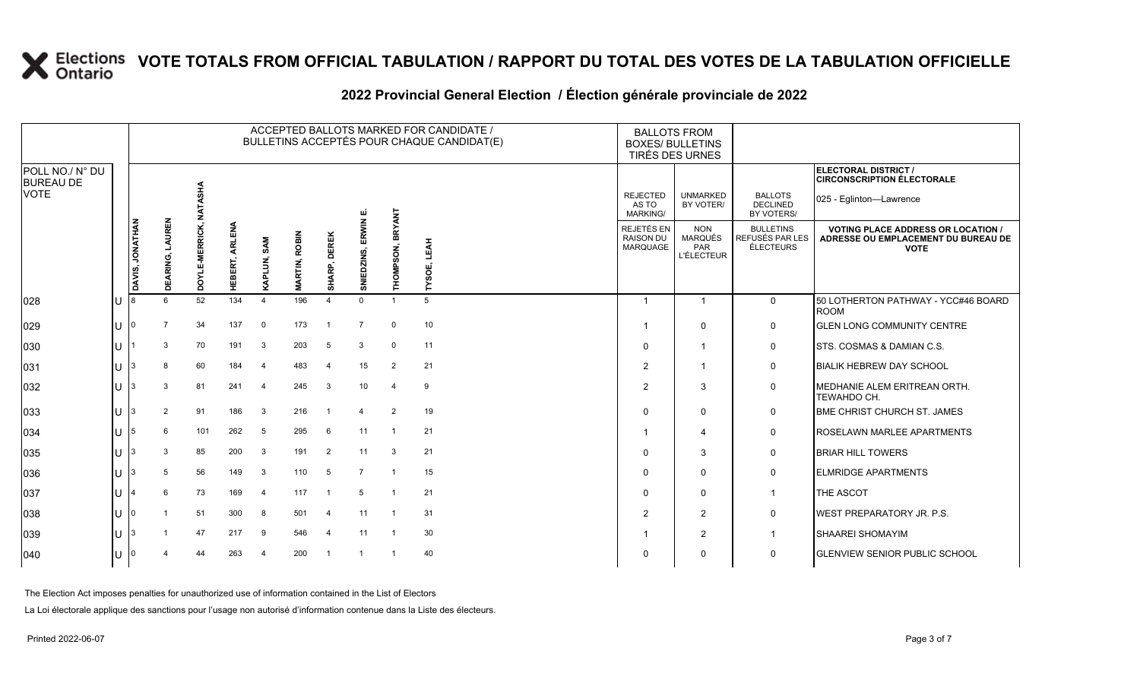### **2022 Provincial General Election / Élection générale provinciale de 2022**

|                                     |    |                 | ACCEPTED BALLOTS MARKED FOR CANDIDATE /<br>BULLETINS ACCEPTÉS POUR CHAQUE CANDIDAT(E) |                |                |                         |                  |                          |                     |                  |                            | <b>BALLOTS FROM</b><br><b>BOXES/ BULLETINS</b> | TIRÉS DES URNES                                          |                                                         |                                                                                                 |
|-------------------------------------|----|-----------------|---------------------------------------------------------------------------------------|----------------|----------------|-------------------------|------------------|--------------------------|---------------------|------------------|----------------------------|------------------------------------------------|----------------------------------------------------------|---------------------------------------------------------|-------------------------------------------------------------------------------------------------|
| POLL NO./ N° DU<br><b>BUREAU DE</b> |    |                 |                                                                                       |                |                |                         |                  |                          |                     |                  |                            |                                                |                                                          |                                                         | ELECTORAL DISTRICT /<br><b>CIRCONSCRIPTION ÉLECTORALE</b>                                       |
| <b>VOTE</b>                         |    |                 |                                                                                       | NATASHA        |                |                         |                  |                          | ய                   |                  |                            | <b>REJECTED</b><br>AS TO<br><b>MARKING/</b>    | <b>UNMARKED</b><br>BY VOTER/                             | <b>BALLOTS</b><br><b>DECLINED</b><br>BY VOTERS/         | 025 - Eglinton-Lawrence                                                                         |
|                                     |    | DAVIS, JONATHAN | LAUREN<br>DEARING,                                                                    | DOYLE-MERRICK, | HEBERT, ARLENA | LUN, SAM<br>KAPI        | ROBIN<br>MARTIN, | <b>SHARP, DEREK</b>      | ERWIN<br>SNIEDZINS, | THOMPSON, BRYANT | LEAH<br>шi<br><b>LASOI</b> | REJETÉS EN<br><b>RAISON DU</b><br>MARQUAGE     | <b>NON</b><br><b>MARQUÉS</b><br>PAR<br><b>L'ÉLECTEUR</b> | <b>BULLETINS</b><br>REFUSÉS PAR LES<br><b>ÉLECTEURS</b> | <b>VOTING PLACE ADDRESS OR LOCATION /</b><br>ADRESSE OU EMPLACEMENT DU BUREAU DE<br><b>VOTE</b> |
| 028                                 | lu |                 | 6                                                                                     | 52             | 134            | $\overline{4}$          | 196              | $\boldsymbol{\varDelta}$ | $\Omega$            |                  | 5                          |                                                | $\overline{1}$                                           | $\mathsf{O}$                                            | 50 LOTHERTON PATHWAY - YCC#46 BOARD<br><b>ROOM</b>                                              |
| 029                                 | lu |                 | $\overline{7}$                                                                        | 34             | 137            | $\mathbf 0$             | 173              | $\overline{1}$           | $\overline{7}$      | $\Omega$         | 10                         |                                                | $\mathbf 0$                                              | $\mathbf 0$                                             | <b>GLEN LONG COMMUNITY CENTRE</b>                                                               |
| 030                                 | lu |                 | 3                                                                                     | 70             | 191            | -3                      | 203              | 5                        | 3                   | $\mathbf{0}$     | 11                         | $\Omega$                                       | -1                                                       | $\mathbf 0$                                             | STS, COSMAS & DAMIAN C.S.                                                                       |
| 031                                 | lu |                 | 8                                                                                     | 60             | 184            | $\overline{4}$          | 483              | $\overline{4}$           | 15                  | $\overline{2}$   | 21                         | 2                                              | -1                                                       | $\mathbf 0$                                             | <b>BIALIK HEBREW DAY SCHOOL</b>                                                                 |
| 032                                 | Iυ |                 | 3                                                                                     | 81             | 241            | $\overline{\mathbf{4}}$ | 245              | 3                        | 10                  | 4                | 9                          | $\overline{2}$                                 | 3                                                        | 0                                                       | MEDHANIE ALEM ERITREAN ORTH.<br>TEWAHDO CH.                                                     |
| 033                                 | Iυ |                 | 2                                                                                     | 91             | 186            | $\mathbf{3}$            | 216              |                          | $\overline{4}$      | $\overline{2}$   | 19                         |                                                | $\mathbf 0$                                              | $\mathsf{O}$                                            | <b>BME CHRIST CHURCH ST. JAMES</b>                                                              |
| 034                                 | lu | 5               | 6                                                                                     | 101            | 262            | 5                       | 295              | 6                        | 11                  |                  | 21                         |                                                | $\overline{\mathcal{A}}$                                 | $\mathbf 0$                                             | ROSELAWN MARLEE APARTMENTS                                                                      |
| 035                                 | lu |                 | 3                                                                                     | 85             | 200            | 3                       | 191              | 2                        | 11                  | 3                | 21                         |                                                | 3                                                        | $\mathbf 0$                                             | <b>BRIAR HILL TOWERS</b>                                                                        |
| 036                                 | lu |                 | 5                                                                                     | 56             | 149            | 3                       | 110              | 5                        | $\overline{7}$      |                  | 15                         | $\Omega$                                       | $\mathbf 0$                                              | $\mathbf 0$                                             | <b>ELMRIDGE APARTMENTS</b>                                                                      |
| 037                                 | Iп |                 | 6                                                                                     | 73             | 169            | $\overline{4}$          | 117              |                          | 5                   | -1               | 21                         | $\Omega$                                       | $\mathbf 0$                                              | $\overline{1}$                                          | <b>THE ASCOT</b>                                                                                |
| 038                                 | Iυ |                 |                                                                                       | 51             | 300            | 8                       | 501              | $\overline{4}$           | 11                  |                  | 31                         | 2                                              | $\overline{2}$                                           | $\mathbf 0$                                             | <b>WEST PREPARATORY JR. P.S.</b>                                                                |
| 039                                 | lu |                 |                                                                                       | 47             | 217            | 9                       | 546              | -4                       | 11                  |                  | 30                         |                                                | 2                                                        | $\mathbf{1}$                                            | SHAAREI SHOMAYIM                                                                                |
| 040                                 | lu |                 |                                                                                       | 44             | 263            | $\overline{4}$          | 200              |                          | $\overline{1}$      | -1               | 40                         |                                                | $\Omega$                                                 | $\mathbf 0$                                             | <b>GLENVIEW SENIOR PUBLIC SCHOOL</b>                                                            |

The Election Act imposes penalties for unauthorized use of information contained in the List of Electors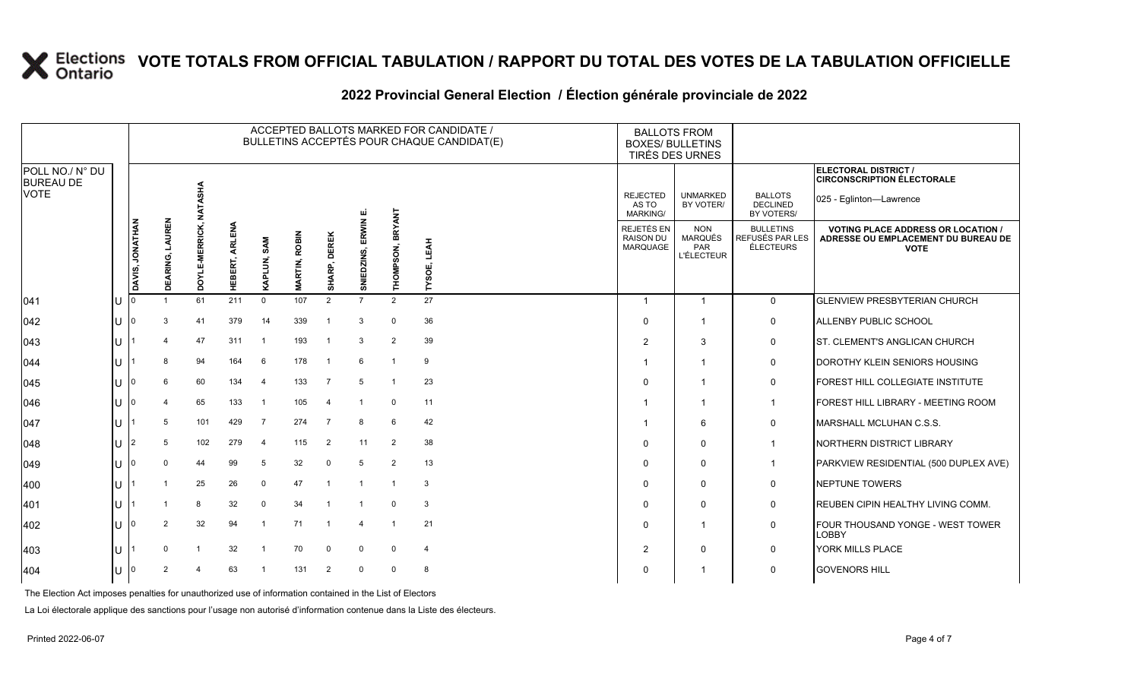#### **2022 Provincial General Election / Élection générale provinciale de 2022**

|                                     |              | ACCEPTED BALLOTS MARKED FOR CANDIDATE /<br>BULLETINS ACCEPTÉS POUR CHAQUE CANDIDAT(E) |                           |                         |                                          |                |                |                |                     |                  |                            | <b>BALLOTS FROM</b><br><b>BOXES/ BULLETINS</b><br>TIRÉS DES URNES |                                                          |                                                  |                                                                                                 |
|-------------------------------------|--------------|---------------------------------------------------------------------------------------|---------------------------|-------------------------|------------------------------------------|----------------|----------------|----------------|---------------------|------------------|----------------------------|-------------------------------------------------------------------|----------------------------------------------------------|--------------------------------------------------|-------------------------------------------------------------------------------------------------|
| POLL NO./ N° DU<br><b>BUREAU DE</b> |              |                                                                                       |                           |                         |                                          |                |                |                |                     |                  |                            |                                                                   |                                                          |                                                  | <b>ELECTORAL DISTRICT /</b><br><b>CIRCONSCRIPTION ÉLECTORALE</b>                                |
| <b>VOTE</b>                         |              |                                                                                       |                           | TASHA<br>z              |                                          |                |                |                |                     |                  |                            | <b>REJECTED</b><br>AS TO<br>MARKING/                              | <b>UNMARKED</b><br>BY VOTER/                             | <b>BALLOTS</b><br><b>DECLINED</b><br>BY VOTERS/  | 025 - Eglinton-Lawrence                                                                         |
|                                     |              | DAVIS, JONATHAN                                                                       | LAUREN<br>RING,<br>₹<br>ō | <b>MERRICK,</b><br>òσ   | ≦<br>⊞<br><b>ARLI</b><br>ERT,<br>齏<br>I. | SAM<br>Ξ,<br>₹ | ROBIN<br>RTIN. | SHARP, DEREK   | ERWIN<br>SNIEDZINS, | THOMPSON, BRYANT | <b>LEAH</b><br>шî<br>TYSOE | REJETÉS EN<br><b>RAISON DU</b><br><b>MARQUAGE</b>                 | <b>NON</b><br><b>MARQUÉS</b><br>PAR<br><b>L'ÉLECTEUR</b> | <b>BULLETINS</b><br>REFUSÉS PAR LES<br>ÉLECTEURS | <b>VOTING PLACE ADDRESS OR LOCATION /</b><br>ADRESSE OU EMPLACEMENT DU BUREAU DE<br><b>VOTE</b> |
| 041                                 | U            |                                                                                       |                           | 61                      | 211                                      | $\mathbf 0$    | 107            | $\overline{2}$ | $\overline{7}$      | 2                | 27                         | -1                                                                | $\mathbf 1$                                              | $\mathbf 0$                                      | <b>GLENVIEW PRESBYTERIAN CHURCH</b>                                                             |
| $ 042\rangle$                       | IU           |                                                                                       |                           | 41                      | 379                                      | 14             | 339            | -1             | 3                   | $\Omega$         | 36                         | $\Omega$                                                          | -1                                                       | 0                                                | ALLENBY PUBLIC SCHOOL                                                                           |
| 043                                 | ΠT           |                                                                                       |                           | 47                      | 311                                      | $\overline{1}$ | 193            | - 1            | 3                   | 2                | 39                         | $\overline{2}$                                                    | 3                                                        | $\mathbf 0$                                      | ST. CLEMENT'S ANGLICAN CHURCH                                                                   |
| 044                                 | ΙU           |                                                                                       | 8                         | 94                      | 164                                      | 6              | 178            | - 1            | 6                   |                  | 9                          |                                                                   |                                                          | $\mathbf 0$                                      | DOROTHY KLEIN SENIORS HOUSING                                                                   |
| 045                                 | ΠT           |                                                                                       | 6                         | 60                      | 134                                      | $\overline{a}$ | 133            | $\overline{7}$ | 5                   |                  | 23                         | $\Omega$                                                          | -1                                                       | 0                                                | FOREST HILL COLLEGIATE INSTITUTE                                                                |
| 046                                 | ΠT           |                                                                                       |                           | 65                      | 133                                      | $\overline{1}$ | 105            | $\overline{4}$ |                     | $\Omega$         | 11                         |                                                                   |                                                          | -1                                               | FOREST HILL LIBRARY - MEETING ROOM                                                              |
| 047                                 | ΙU           |                                                                                       | 5                         | 101                     | 429                                      | -7             | 274            | $\overline{7}$ | 8                   | 6                | 42                         |                                                                   | 6                                                        | $\mathbf 0$                                      | MARSHALL MCLUHAN C.S.S.                                                                         |
| 048                                 | $\mathbf{U}$ | l2                                                                                    | -5                        | 102                     | 279                                      | $\overline{a}$ | 115            | $\overline{2}$ | 11                  | 2                | 38                         | $\Omega$                                                          | $\Omega$                                                 | $\mathbf 1$                                      | NORTHERN DISTRICT LIBRARY                                                                       |
| $ 049\rangle$                       | IU           |                                                                                       | $\Omega$                  | 44                      | 99                                       | 5              | 32             | 0              | 5                   | 2                | 13                         | $\Omega$                                                          | $\Omega$                                                 | $\mathbf 1$                                      | PARKVIEW RESIDENTIAL (500 DUPLEX AVE)                                                           |
| 400                                 | ΙU           |                                                                                       |                           | 25                      | 26                                       | $\mathbf 0$    | 47             |                |                     |                  | 3                          | $\Omega$                                                          | $\mathbf 0$                                              | $\mathbf 0$                                      | <b>NEPTUNE TOWERS</b>                                                                           |
| 401                                 | U            |                                                                                       |                           | 8                       | 32                                       | $\mathbf 0$    | 34             |                |                     | $\Omega$         | 3                          | $\Omega$                                                          | $\Omega$                                                 | $\mathbf 0$                                      | REUBEN CIPIN HEALTHY LIVING COMM.                                                               |
| 402                                 | ПT           |                                                                                       |                           | 32                      | 94                                       | -1             | 71             |                | 4                   |                  | 21                         | $\Omega$                                                          | -1                                                       | $\mathbf 0$                                      | FOUR THOUSAND YONGE - WEST TOWER<br><b>LOBBY</b>                                                |
| 403                                 | Ш            |                                                                                       | $\Omega$                  | $\overline{\mathbf{1}}$ | 32                                       |                | 70             | $\mathbf 0$    | $\Omega$            | $\Omega$         | $\overline{4}$             | 2                                                                 | $\Omega$                                                 | $\mathbf 0$                                      | YORK MILLS PLACE                                                                                |
| 404                                 | U            | ١O                                                                                    | 2                         |                         | 63                                       |                | 131            | 2              | $\Omega$            | $\Omega$         | 8                          | $\Omega$                                                          |                                                          | 0                                                | <b>GOVENORS HILL</b>                                                                            |

The Election Act imposes penalties for unauthorized use of information contained in the List of Electors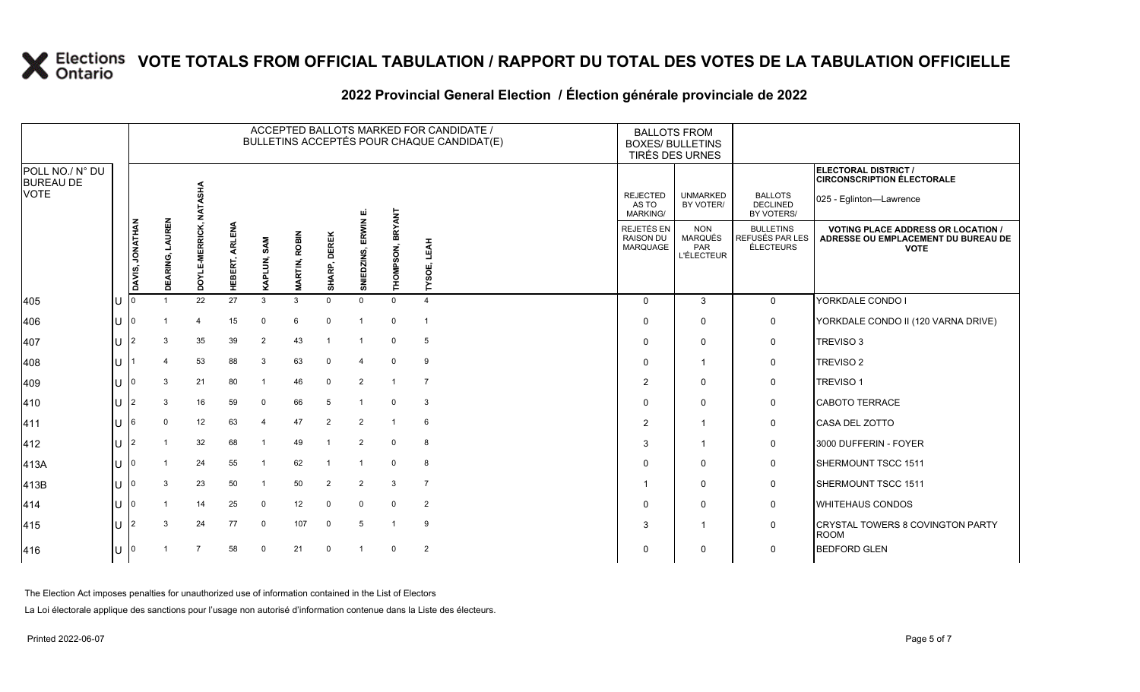#### **2022 Provincial General Election / Élection générale provinciale de 2022**

|                                     |              |                 |                    |                           |                |                         |                         |                     |                     |                  | ACCEPTED BALLOTS MARKED FOR CANDIDATE /<br>BULLETINS ACCEPTÉS POUR CHAQUE CANDIDAT(E) | <b>BALLOTS FROM</b><br><b>BOXES/ BULLETINS</b> | TIRÉS DES URNES                                                 |                                                  |                                                                                                 |
|-------------------------------------|--------------|-----------------|--------------------|---------------------------|----------------|-------------------------|-------------------------|---------------------|---------------------|------------------|---------------------------------------------------------------------------------------|------------------------------------------------|-----------------------------------------------------------------|--------------------------------------------------|-------------------------------------------------------------------------------------------------|
| POLL NO./ N° DU<br><b>BUREAU DE</b> |              |                 |                    |                           |                |                         |                         |                     |                     |                  |                                                                                       |                                                |                                                                 |                                                  | ELECTORAL DISTRICT /<br><b>CIRCONSCRIPTION ÉLECTORALE</b>                                       |
| <b>VOTE</b>                         |              |                 |                    | NATASHA                   |                |                         |                         |                     | ய                   |                  |                                                                                       | <b>REJECTED</b><br>AS TO<br><b>MARKING/</b>    | <b>UNMARKED</b><br>BY VOTER/                                    | <b>BALLOTS</b><br><b>DECLINED</b><br>BY VOTERS/  | 025 - Eglinton-Lawrence                                                                         |
|                                     |              | DAVIS, JONATHAN | LAUREN<br>DEARING, | E-MERRICK,<br><b>TAOD</b> | HEBERT, ARLENA | KAPLUN, SAM             | ROBIN<br><b>MARTIN,</b> | <b>SHARP, DEREK</b> | ERWIN<br>SNIEDZINS, | THOMPSON, BRYANT | <b>LEAH</b><br>пî<br><b>LASOI</b>                                                     | REJETÉS EN<br><b>RAISON DU</b><br>MARQUAGE     | <b>NON</b><br><b>MARQUÉS</b><br><b>PAR</b><br><b>L'ÉLECTEUR</b> | <b>BULLETINS</b><br>REFUSÉS PAR LES<br>ÉLECTEURS | <b>VOTING PLACE ADDRESS OR LOCATION /</b><br>ADRESSE OU EMPLACEMENT DU BUREAU DE<br><b>VOTE</b> |
| 405                                 |              |                 |                    | 22                        | 27             | 3                       | 3                       | $\Omega$            | $\Omega$            | $\Omega$         | $\overline{4}$                                                                        | $\Omega$                                       | 3                                                               | $\mathbf 0$                                      | YORKDALE CONDO I                                                                                |
| 406                                 |              |                 |                    | $\overline{4}$            | 15             | 0                       | 6                       | $\mathbf 0$         |                     | 0                |                                                                                       | $\Omega$                                       | $\mathbf 0$                                                     | 0                                                | YORKDALE CONDO II (120 VARNA DRIVE)                                                             |
| 407                                 |              |                 | 3                  | 35                        | 39             | 2                       | 43                      | $\overline{1}$      |                     | 0                | 5                                                                                     | $\Omega$                                       | $\Omega$                                                        | 0                                                | <b>TREVISO 3</b>                                                                                |
| 408                                 |              |                 | Δ                  | 53                        | 88             | 3                       | 63                      | $\mathbf 0$         | $\overline{4}$      | $\mathbf 0$      | 9                                                                                     | 0                                              | -1                                                              | 0                                                | <b>TREVISO 2</b>                                                                                |
| 409                                 |              |                 | 3                  | 21                        | 80             | $\overline{1}$          | 46                      | $\mathbf 0$         | 2                   |                  | $\overline{7}$                                                                        | 2                                              | $\mathbf 0$                                                     | 0                                                | <b>TREVISO 1</b>                                                                                |
| 410                                 |              |                 | 3                  | 16                        | 59             | $\mathbf 0$             | 66                      | 5                   |                     | $\Omega$         | 3                                                                                     |                                                | $\mathbf 0$                                                     | $\mathbf 0$                                      | <b>CABOTO TERRACE</b>                                                                           |
| 411                                 |              | 16              | $\Omega$           | 12                        | 63             | $\overline{4}$          | 47                      | $\overline{2}$      | 2                   |                  | 6                                                                                     | $\overline{2}$                                 | $\overline{\mathbf{1}}$                                         | 0                                                | CASA DEL ZOTTO                                                                                  |
| 412                                 |              |                 |                    | 32                        | 68             | $\overline{1}$          | 49                      | $\overline{1}$      | $\overline{2}$      | $\mathbf 0$      | 8                                                                                     | 3                                              | $\overline{1}$                                                  | 0                                                | 3000 DUFFERIN - FOYER                                                                           |
| 413A                                |              | I٥              |                    | 24                        | 55             | $\overline{\mathbf{1}}$ | 62                      |                     |                     | $\Omega$         | 8                                                                                     | ∩                                              | $\mathbf 0$                                                     | $\mathbf 0$                                      | SHERMOUNT TSCC 1511                                                                             |
| 413B                                |              |                 | 3                  | 23                        | 50             | $\overline{1}$          | 50                      | $\overline{2}$      | 2                   | 3                | $\overline{7}$                                                                        |                                                | $\mathbf 0$                                                     | 0                                                | SHERMOUNT TSCC 1511                                                                             |
| 414                                 | $\mathsf{U}$ | 10              |                    | 14                        | 25             | 0                       | 12 <sup>°</sup>         | $\mathbf 0$         | $\mathbf 0$         | $\mathbf 0$      | $\overline{2}$                                                                        | <sup>0</sup>                                   | $\mathbf 0$                                                     | 0                                                | <b>WHITEHAUS CONDOS</b>                                                                         |
| 415                                 | $\mathsf{U}$ |                 | 3                  | 24                        | 77             | 0                       | 107                     | $\mathbf 0$         | 5                   |                  | 9                                                                                     | 3                                              | $\overline{1}$                                                  | 0                                                | <b>CRYSTAL TOWERS 8 COVINGTON PARTY</b><br><b>ROOM</b>                                          |
| 416                                 |              | I٥              |                    |                           | 58             | $\mathbf 0$             | 21                      | $\mathbf 0$         |                     | $\mathbf 0$      | 2                                                                                     | $\Omega$                                       | $\mathbf 0$                                                     | 0                                                | <b>BEDFORD GLEN</b>                                                                             |

The Election Act imposes penalties for unauthorized use of information contained in the List of Electors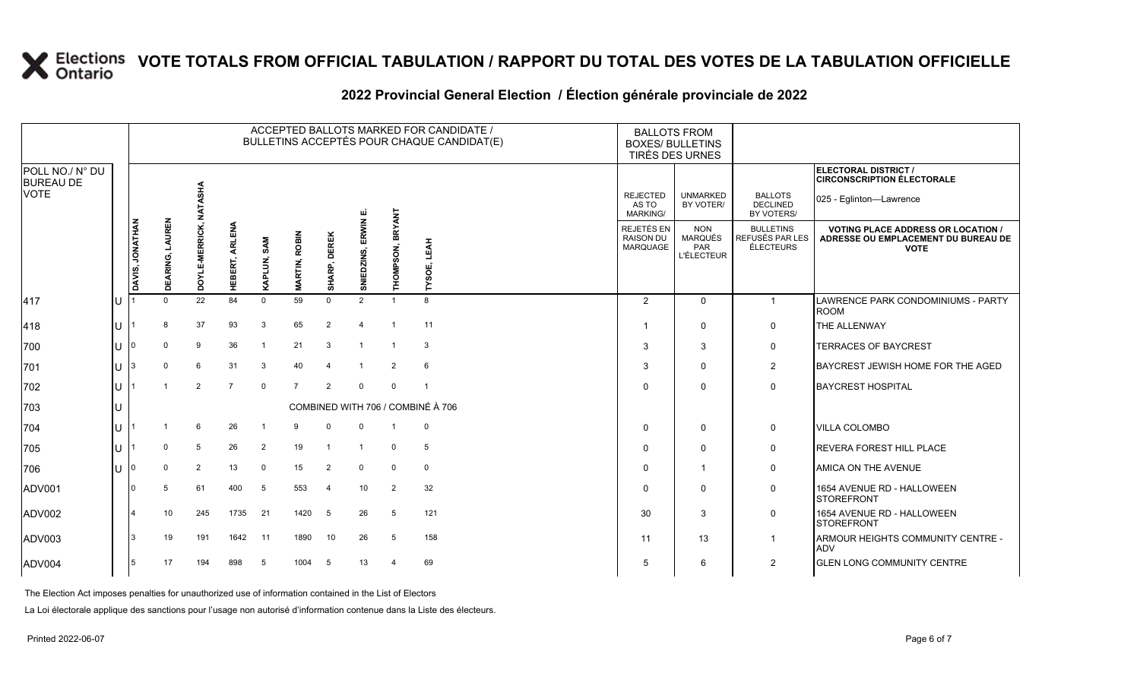#### **2022 Provincial General Election / Élection générale provinciale de 2022**

|                                     |    |                 |                    |                |                |                |                      |                |                     |                          | ACCEPTED BALLOTS MARKED FOR CANDIDATE /<br>BULLETINS ACCEPTÉS POUR CHAQUE CANDIDAT(E) | <b>BALLOTS FROM</b><br><b>BOXES/ BULLETINS</b><br>TIRÉS DES URNES |                                                          |                                                  |                                                                                                 |
|-------------------------------------|----|-----------------|--------------------|----------------|----------------|----------------|----------------------|----------------|---------------------|--------------------------|---------------------------------------------------------------------------------------|-------------------------------------------------------------------|----------------------------------------------------------|--------------------------------------------------|-------------------------------------------------------------------------------------------------|
| POLL NO./ N° DU<br><b>BUREAU DE</b> |    |                 |                    |                |                |                |                      |                |                     |                          |                                                                                       |                                                                   |                                                          |                                                  | ELECTORAL DISTRICT /<br><b>CIRCONSCRIPTION ÉLECTORALE</b>                                       |
| <b>VOTE</b>                         |    |                 |                    | NATASHA        |                |                |                      |                |                     |                          |                                                                                       | <b>REJECTED</b><br>AS TO<br><b>MARKING/</b>                       | <b>UNMARKED</b><br>BY VOTER/                             | <b>BALLOTS</b><br><b>DECLINED</b><br>BY VOTERS/  | 025 - Eglinton-Lawrence                                                                         |
|                                     |    | DAVIS, JONATHAN | LAUREN<br>DEARING, | DOYLE-MERRICK, | HEBERT, ARLENA | KAPLUN, SAM    | <b>MARTIN, ROBIN</b> | SHARP, DEREK   | SNIEDZINS, ERWIN E. | THOMPSON, BRYANT         | LEAH<br>YSOE,                                                                         | REJETÉS EN<br><b>RAISON DU</b><br>MARQUAGE                        | <b>NON</b><br><b>MARQUÉS</b><br>PAR<br><b>L'ÉLECTEUR</b> | <b>BULLETINS</b><br>REFUSÉS PAR LES<br>ÉLECTEURS | <b>VOTING PLACE ADDRESS OR LOCATION /</b><br>ADRESSE OU EMPLACEMENT DU BUREAU DE<br><b>VOTE</b> |
| 417                                 | ΙU |                 | $\Omega$           | 22             | 84             | $\mathbf 0$    | 59                   | $\Omega$       | 2                   | $\overline{1}$           | 8                                                                                     | $\overline{2}$                                                    | $\Omega$                                                 | $\overline{1}$                                   | LAWRENCE PARK CONDOMINIUMS - PARTY<br><b>ROOM</b>                                               |
| 418                                 | lu |                 | <sub>8</sub>       | 37             | 93             | 3              | 65                   | 2              | Δ                   |                          | 11                                                                                    |                                                                   | $\mathbf 0$                                              | $\mathbf 0$                                      | <b>THE ALLENWAY</b>                                                                             |
| 700                                 | lu |                 | $\mathbf 0$        | 9              | 36             | $\overline{1}$ | 21                   | 3              | $\mathbf{1}$        |                          | $\mathbf{3}$                                                                          | 3                                                                 | 3                                                        | $\mathbf 0$                                      | <b>TERRACES OF BAYCREST</b>                                                                     |
| 701                                 | Iп |                 | $\Omega$           | 6              | 31             | 3              | 40                   | $\overline{4}$ |                     | 2                        | 6                                                                                     | 3                                                                 | $\Omega$                                                 | $\overline{2}$                                   | BAYCREST JEWISH HOME FOR THE AGED                                                               |
| 702                                 | lu |                 |                    | 2              | $\overline{7}$ | $\mathbf 0$    | $\overline{7}$       | 2              | $\Omega$            | $\Omega$                 |                                                                                       |                                                                   | $\Omega$                                                 | $\mathbf 0$                                      | <b>BAYCREST HOSPITAL</b>                                                                        |
| 703                                 | Iυ |                 |                    |                |                |                |                      |                |                     |                          | COMBINED WITH 706 / COMBINÉ À 706                                                     |                                                                   |                                                          |                                                  |                                                                                                 |
| 704                                 | IП |                 |                    | 6              | 26             | -1             | 9                    | $\Omega$       | 0                   |                          | $\mathbf 0$                                                                           | $\mathbf{0}$                                                      | 0                                                        | $\mathbf 0$                                      | <b>VILLA COLOMBO</b>                                                                            |
| 705                                 | lυ |                 | $\Omega$           | 5              | 26             | $\overline{2}$ | 19                   | $\overline{1}$ | $\overline{1}$      | $\Omega$                 | 5                                                                                     | $\Omega$                                                          | $\Omega$                                                 | $\mathbf 0$                                      | <b>REVERA FOREST HILL PLACE</b>                                                                 |
| 706                                 | lυ |                 | $\Omega$           | 2              | 13             | 0              | 15                   | 2              | 0                   | $\mathbf{0}$             | $\mathbf 0$                                                                           | $\Omega$                                                          | $\overline{1}$                                           | 0                                                | AMICA ON THE AVENUE                                                                             |
| ADV001                              |    |                 | 5                  | 61             | 400            | 5              | 553                  | $\overline{4}$ | 10                  | $\overline{2}$           | 32                                                                                    | $\Omega$                                                          | $\Omega$                                                 | $\mathbf 0$                                      | 1654 AVENUE RD - HALLOWEEN<br><b>STOREFRONT</b>                                                 |
| ADV002                              |    |                 | 10                 | 245            | 1735           | 21             | 1420                 | 5              | 26                  | 5                        | 121                                                                                   | 30                                                                | 3                                                        | $\mathbf 0$                                      | 1654 AVENUE RD - HALLOWEEN<br><b>STOREFRONT</b>                                                 |
| ADV003                              |    |                 | 19                 | 191            | 1642           | 11             | 1890                 | 10             | 26                  | 5                        | 158                                                                                   | 11                                                                | 13                                                       | -1                                               | ARMOUR HEIGHTS COMMUNITY CENTRE -<br><b>ADV</b>                                                 |
| ADV004                              |    | 5               | 17                 | 194            | 898            | 5              | 1004                 | -5             | 13                  | $\boldsymbol{\varDelta}$ | 69                                                                                    | 5                                                                 | 6                                                        | $\overline{2}$                                   | <b>IGLEN LONG COMMUNITY CENTRE</b>                                                              |

The Election Act imposes penalties for unauthorized use of information contained in the List of Electors